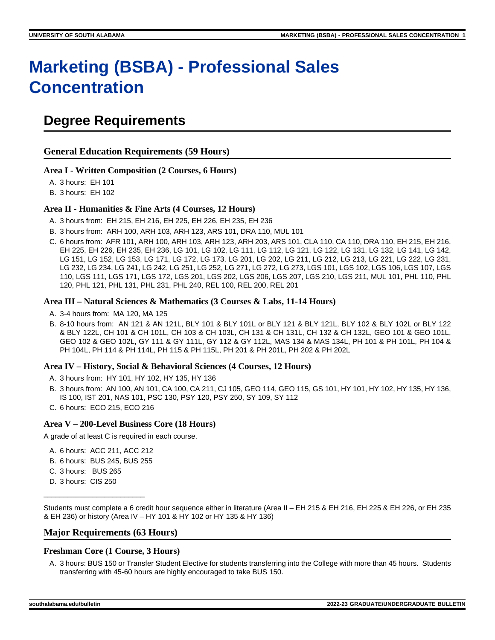# **Marketing (BSBA) - Professional Sales Concentration**

# **Degree Requirements**

# **General Education Requirements (59 Hours)**

#### **Area I - Written Composition (2 Courses, 6 Hours)**

A. 3 hours: EH 101

B. 3 hours: EH 102

#### **Area II - Humanities & Fine Arts (4 Courses, 12 Hours)**

- A. 3 hours from: EH 215, EH 216, EH 225, EH 226, EH 235, EH 236
- B. 3 hours from: ARH 100, ARH 103, ARH 123, ARS 101, DRA 110, MUL 101
- C. 6 hours from: AFR 101, ARH 100, ARH 103, ARH 123, ARH 203, ARS 101, CLA 110, CA 110, DRA 110, EH 215, EH 216, EH 225, EH 226, EH 235, EH 236, LG 101, LG 102, LG 111, LG 112, LG 121, LG 122, LG 131, LG 132, LG 141, LG 142, LG 151, LG 152, LG 153, LG 171, LG 172, LG 173, LG 201, LG 202, LG 211, LG 212, LG 213, LG 221, LG 222, LG 231, LG 232, LG 234, LG 241, LG 242, LG 251, LG 252, LG 271, LG 272, LG 273, LGS 101, LGS 102, LGS 106, LGS 107, LGS 110, LGS 111, LGS 171, LGS 172, LGS 201, LGS 202, LGS 206, LGS 207, LGS 210, LGS 211, MUL 101, PHL 110, PHL 120, PHL 121, PHL 131, PHL 231, PHL 240, REL 100, REL 200, REL 201

#### **Area III – Natural Sciences & Mathematics (3 Courses & Labs, 11-14 Hours)**

- A. 3-4 hours from: MA 120, MA 125
- B. 8-10 hours from: AN 121 & AN 121L, BLY 101 & BLY 101L or BLY 121 & BLY 121L, BLY 102 & BLY 102L or BLY 122 & BLY 122L, CH 101 & CH 101L, CH 103 & CH 103L, CH 131 & CH 131L, CH 132 & CH 132L, GEO 101 & GEO 101L, GEO 102 & GEO 102L, GY 111 & GY 111L, GY 112 & GY 112L, MAS 134 & MAS 134L, PH 101 & PH 101L, PH 104 & PH 104L, PH 114 & PH 114L, PH 115 & PH 115L, PH 201 & PH 201L, PH 202 & PH 202L

#### **Area IV – History, Social & Behavioral Sciences (4 Courses, 12 Hours)**

- A. 3 hours from: HY 101, HY 102, HY 135, HY 136
- B. 3 hours from: AN 100, AN 101, CA 100, CA 211, CJ 105, GEO 114, GEO 115, GS 101, HY 101, HY 102, HY 135, HY 136, IS 100, IST 201, NAS 101, PSC 130, PSY 120, PSY 250, SY 109, SY 112
- C. 6 hours: ECO 215, ECO 216

#### **Area V – 200-Level Business Core (18 Hours)**

A grade of at least C is required in each course.

- A. 6 hours: ACC 211, ACC 212
- B. 6 hours: BUS 245, BUS 255
- C. 3 hours: BUS 265
- D. 3 hours: CIS 250

\_\_\_\_\_\_\_\_\_\_\_\_\_\_\_\_\_\_\_\_\_\_\_\_\_

Students must complete a 6 credit hour sequence either in literature (Area II – EH 215 & EH 216, EH 225 & EH 226, or EH 235 & EH 236) or history (Area IV – HY 101 & HY 102 or HY 135 & HY 136)

#### **Major Requirements (63 Hours)**

#### **Freshman Core (1 Course, 3 Hours)**

A. 3 hours: BUS 150 or Transfer Student Elective for students transferring into the College with more than 45 hours. Students transferring with 45-60 hours are highly encouraged to take BUS 150.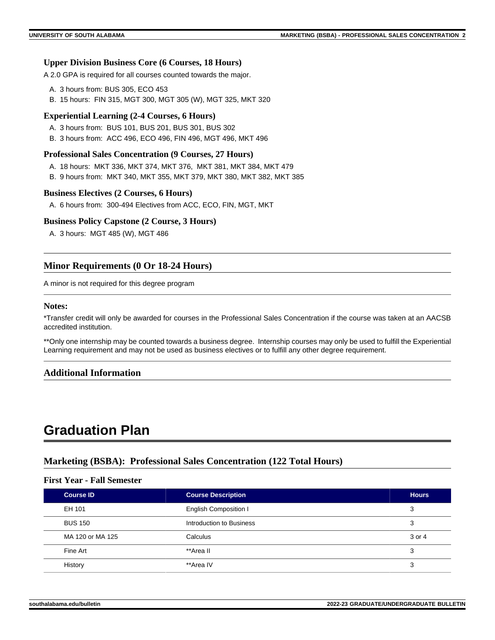#### **Upper Division Business Core (6 Courses, 18 Hours)**

A 2.0 GPA is required for all courses counted towards the major.

- A. 3 hours from: BUS 305, ECO 453
- B. 15 hours: FIN 315, MGT 300, MGT 305 (W), MGT 325, MKT 320

#### **Experiential Learning (2-4 Courses, 6 Hours)**

- A. 3 hours from: BUS 101, BUS 201, BUS 301, BUS 302
- B. 3 hours from: ACC 496, ECO 496, FIN 496, MGT 496, MKT 496

#### **Professional Sales Concentration (9 Courses, 27 Hours)**

- A. 18 hours: MKT 336, MKT 374, MKT 376, MKT 381, MKT 384, MKT 479
- B. 9 hours from: MKT 340, MKT 355, MKT 379, MKT 380, MKT 382, MKT 385

#### **Business Electives (2 Courses, 6 Hours)**

A. 6 hours from: 300-494 Electives from ACC, ECO, FIN, MGT, MKT

#### **Business Policy Capstone (2 Course, 3 Hours)**

A. 3 hours: MGT 485 (W), MGT 486

# **Minor Requirements (0 Or 18-24 Hours)**

A minor is not required for this degree program

#### **Notes:**

\*Transfer credit will only be awarded for courses in the Professional Sales Concentration if the course was taken at an AACSB accredited institution.

\*\*Only one internship may be counted towards a business degree. Internship courses may only be used to fulfill the Experiential Learning requirement and may not be used as business electives or to fulfill any other degree requirement.

#### **Additional Information**

# **Graduation Plan**

### **Marketing (BSBA): Professional Sales Concentration (122 Total Hours)**

#### **First Year - Fall Semester**

| <b>Course ID</b> | <b>Course Description</b>    | <b>Hours</b> |
|------------------|------------------------------|--------------|
| EH 101           | <b>English Composition I</b> | 3            |
| <b>BUS 150</b>   | Introduction to Business     | 3            |
| MA 120 or MA 125 | Calculus                     | 3 or 4       |
| Fine Art         | **Area II                    | 3            |
| History          | **Area IV                    | 3            |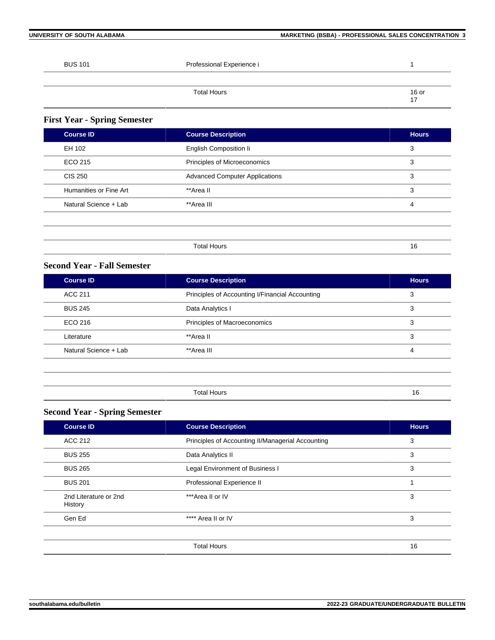| <b>BUS 101</b> | Professional Experience i |             |
|----------------|---------------------------|-------------|
|                |                           |             |
|                | <b>Total Hours</b>        | 16 or<br>17 |
|                |                           |             |

# **First Year - Spring Semester**

| <b>Course ID</b>       | <b>Course Description</b>             | <b>Hours</b>   |
|------------------------|---------------------------------------|----------------|
| EH 102                 | English Composition li                | 3              |
| ECO 215                | Principles of Microeconomics          | 3              |
| <b>CIS 250</b>         | <b>Advanced Computer Applications</b> | 3              |
| Humanities or Fine Art | **Area II                             | 3              |
| Natural Science + Lab  | **Area III                            | $\overline{4}$ |
|                        |                                       |                |
|                        |                                       |                |
|                        | <b>Total Hours</b>                    | 16             |

# **Second Year - Fall Semester**

| <b>Course ID</b>      | <b>Course Description</b>                       | <b>Hours</b> |
|-----------------------|-------------------------------------------------|--------------|
| <b>ACC 211</b>        | Principles of Accounting I/Financial Accounting | 3            |
| <b>BUS 245</b>        | Data Analytics I                                | 3            |
| ECO 216               | Principles of Macroeconomics                    | 3            |
| Literature            | **Area II                                       | 3            |
| Natural Science + Lab | **Area III                                      | 4            |
|                       |                                                 |              |

Total Hours 16

# **Second Year - Spring Semester**

| <b>Course ID</b>                 | <b>Course Description</b>                         | <b>Hours</b> |
|----------------------------------|---------------------------------------------------|--------------|
| ACC 212                          | Principles of Accounting II/Managerial Accounting | 3            |
| <b>BUS 255</b>                   | Data Analytics II                                 | 3            |
| <b>BUS 265</b>                   | Legal Environment of Business I                   | 3            |
| <b>BUS 201</b>                   | Professional Experience II                        |              |
| 2nd Literature or 2nd<br>History | ***Area II or IV                                  | 3            |
| Gen Ed                           | **** Area II or IV                                | 3            |
|                                  |                                                   |              |
|                                  | <b>Total Hours</b>                                | 16           |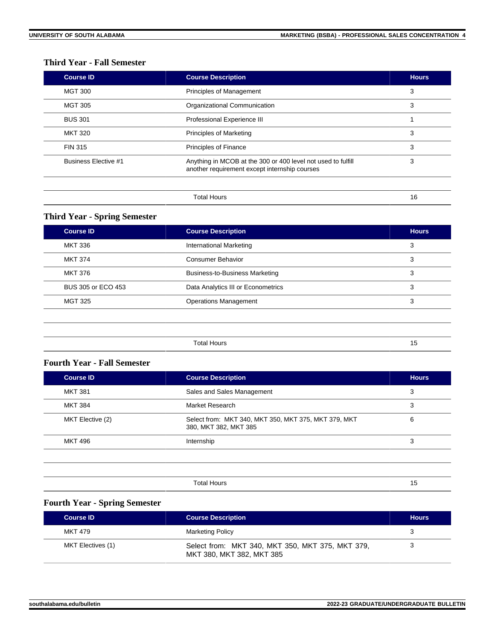# **Third Year - Fall Semester**

| <b>Course ID</b>            | <b>Course Description</b>                                                                                     | <b>Hours</b> |
|-----------------------------|---------------------------------------------------------------------------------------------------------------|--------------|
| <b>MGT 300</b>              | Principles of Management                                                                                      | 3            |
| <b>MGT 305</b>              | Organizational Communication                                                                                  | 3            |
| <b>BUS 301</b>              | Professional Experience III                                                                                   |              |
| <b>MKT 320</b>              | Principles of Marketing                                                                                       | 3            |
| <b>FIN 315</b>              | Principles of Finance                                                                                         | 3            |
| <b>Business Elective #1</b> | Anything in MCOB at the 300 or 400 level not used to fulfill<br>another requirement except internship courses | 3            |
|                             | <b>Total Hours</b>                                                                                            | 16           |

# **Third Year - Spring Semester**

| <b>Course ID</b>   | <b>Course Description</b>             | <b>Hours</b> |
|--------------------|---------------------------------------|--------------|
| MKT 336            | International Marketing               | 3            |
| <b>MKT 374</b>     | Consumer Behavior                     | 3            |
| <b>MKT 376</b>     | <b>Business-to-Business Marketing</b> | 3            |
| BUS 305 or ECO 453 | Data Analytics III or Econometrics    | 3            |
| <b>MGT 325</b>     | <b>Operations Management</b>          | 3            |
|                    |                                       |              |
|                    |                                       |              |

# **Fourth Year - Fall Semester**

| <b>Course ID</b> | <b>Course Description</b>                                                     | <b>Hours</b> |
|------------------|-------------------------------------------------------------------------------|--------------|
| <b>MKT 381</b>   | Sales and Sales Management                                                    | 3            |
| <b>MKT 384</b>   | Market Research                                                               | 3            |
| MKT Elective (2) | Select from: MKT 340, MKT 350, MKT 375, MKT 379, MKT<br>380, MKT 382, MKT 385 | 6            |
| MKT 496          | Internship                                                                    | 3            |
|                  |                                                                               |              |
|                  |                                                                               |              |
|                  | <b>Total Hours</b>                                                            | 15           |

# **Fourth Year - Spring Semester**

| <b>Course ID</b>  | <b>Course Description</b>                                                     | <b>Hours</b> |
|-------------------|-------------------------------------------------------------------------------|--------------|
| MKT 479           | <b>Marketing Policy</b>                                                       |              |
| MKT Electives (1) | Select from: MKT 340, MKT 350, MKT 375, MKT 379,<br>MKT 380, MKT 382, MKT 385 |              |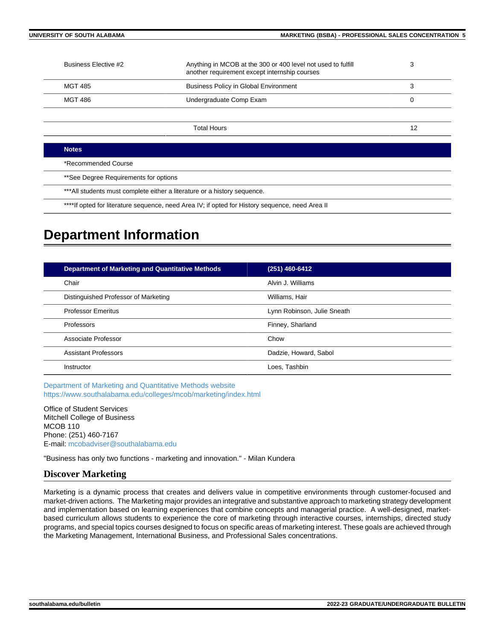| Business Elective #2                                                                                                                                                                                                          | Anything in MCOB at the 300 or 400 level not used to fulfill<br>another requirement except internship courses | 3  |
|-------------------------------------------------------------------------------------------------------------------------------------------------------------------------------------------------------------------------------|---------------------------------------------------------------------------------------------------------------|----|
| <b>MGT 485</b>                                                                                                                                                                                                                | <b>Business Policy in Global Environment</b>                                                                  | 3  |
| <b>MGT 486</b>                                                                                                                                                                                                                | Undergraduate Comp Exam                                                                                       | 0  |
|                                                                                                                                                                                                                               |                                                                                                               |    |
|                                                                                                                                                                                                                               | <b>Total Hours</b>                                                                                            | 12 |
|                                                                                                                                                                                                                               |                                                                                                               |    |
| <b>Notes</b>                                                                                                                                                                                                                  |                                                                                                               |    |
| *Recommended Course                                                                                                                                                                                                           |                                                                                                               |    |
| **See Degree Requirements for options                                                                                                                                                                                         |                                                                                                               |    |
| .♦♦♦ A H to a collect a theory of the collection of the collection of the collection of the collection of the collection of the collection of the collection of the collection of the collection of the collection of the col |                                                                                                               |    |

\*All students must complete either a literature or a history sequence.

\*\*\*\*If opted for literature sequence, need Area IV; if opted for History sequence, need Area II

# **Department Information**

| <b>Department of Marketing and Quantitative Methods</b> | (251) 460-6412              |
|---------------------------------------------------------|-----------------------------|
| Chair                                                   | Alvin J. Williams           |
| Distinguished Professor of Marketing                    | Williams, Hair              |
| <b>Professor Emeritus</b>                               | Lynn Robinson, Julie Sneath |
| Professors                                              | Finney, Sharland            |
| Associate Professor                                     | Chow                        |
| <b>Assistant Professors</b>                             | Dadzie, Howard, Sabol       |
| Instructor                                              | Loes, Tashbin               |

[Department of Marketing and Quantitative Methods website](https://www.southalabama.edu/colleges/mcob/marketing) <https://www.southalabama.edu/colleges/mcob/marketing/index.html>

Office of Student Services Mitchell College of Business MCOB 110 Phone: (251) 460-7167 E-mail: [mcobadviser@southalabama.edu](mailto:mcobadviser@southalabama.edu?subject=)

"Business has only two functions - marketing and innovation." - Milan Kundera

# **Discover Marketing**

Marketing is a dynamic process that creates and delivers value in competitive environments through customer-focused and market-driven actions. The Marketing major provides an integrative and substantive approach to marketing strategy development and implementation based on learning experiences that combine concepts and managerial practice. A well-designed, marketbased curriculum allows students to experience the core of marketing through interactive courses, internships, directed study programs, and special topics courses designed to focus on specific areas of marketing interest. These goals are achieved through the Marketing Management, International Business, and Professional Sales concentrations.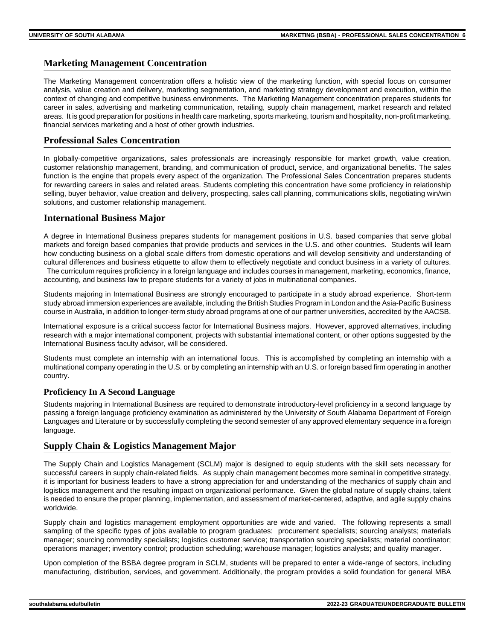# **Marketing Management Concentration**

The Marketing Management concentration offers a holistic view of the marketing function, with special focus on consumer analysis, value creation and delivery, marketing segmentation, and marketing strategy development and execution, within the context of changing and competitive business environments. The Marketing Management concentration prepares students for career in sales, advertising and marketing communication, retailing, supply chain management, market research and related areas. It is good preparation for positions in health care marketing, sports marketing, tourism and hospitality, non-profit marketing, financial services marketing and a host of other growth industries.

# **Professional Sales Concentration**

In globally-competitive organizations, sales professionals are increasingly responsible for market growth, value creation, customer relationship management, branding, and communication of product, service, and organizational benefits. The sales function is the engine that propels every aspect of the organization. The Professional Sales Concentration prepares students for rewarding careers in sales and related areas. Students completing this concentration have some proficiency in relationship selling, buyer behavior, value creation and delivery, prospecting, sales call planning, communications skills, negotiating win/win solutions, and customer relationship management.

# **International Business Major**

A degree in International Business prepares students for management positions in U.S. based companies that serve global markets and foreign based companies that provide products and services in the U.S. and other countries. Students will learn how conducting business on a global scale differs from domestic operations and will develop sensitivity and understanding of cultural differences and business etiquette to allow them to effectively negotiate and conduct business in a variety of cultures. The curriculum requires proficiency in a foreign language and includes courses in management, marketing, economics, finance, accounting, and business law to prepare students for a variety of jobs in multinational companies.

Students majoring in International Business are strongly encouraged to participate in a study abroad experience. Short-term study abroad immersion experiences are available, including the British Studies Program in London and the Asia-Pacific Business course in Australia, in addition to longer-term study abroad programs at one of our partner universities, accredited by the AACSB.

International exposure is a critical success factor for International Business majors. However, approved alternatives, including research with a major international component, projects with substantial international content, or other options suggested by the International Business faculty advisor, will be considered.

Students must complete an internship with an international focus. This is accomplished by completing an internship with a multinational company operating in the U.S. or by completing an internship with an U.S. or foreign based firm operating in another country.

#### **Proficiency In A Second Language**

Students majoring in International Business are required to demonstrate introductory-level proficiency in a second language by passing a foreign language proficiency examination as administered by the University of South Alabama Department of Foreign Languages and Literature or by successfully completing the second semester of any approved elementary sequence in a foreign language.

#### **Supply Chain & Logistics Management Major**

The Supply Chain and Logistics Management (SCLM) major is designed to equip students with the skill sets necessary for successful careers in supply chain-related fields. As supply chain management becomes more seminal in competitive strategy, it is important for business leaders to have a strong appreciation for and understanding of the mechanics of supply chain and logistics management and the resulting impact on organizational performance. Given the global nature of supply chains, talent is needed to ensure the proper planning, implementation, and assessment of market-centered, adaptive, and agile supply chains worldwide.

Supply chain and logistics management employment opportunities are wide and varied. The following represents a small sampling of the specific types of jobs available to program graduates: procurement specialists; sourcing analysts; materials manager; sourcing commodity specialists; logistics customer service; transportation sourcing specialists; material coordinator; operations manager; inventory control; production scheduling; warehouse manager; logistics analysts; and quality manager.

Upon completion of the BSBA degree program in SCLM, students will be prepared to enter a wide-range of sectors, including manufacturing, distribution, services, and government. Additionally, the program provides a solid foundation for general MBA